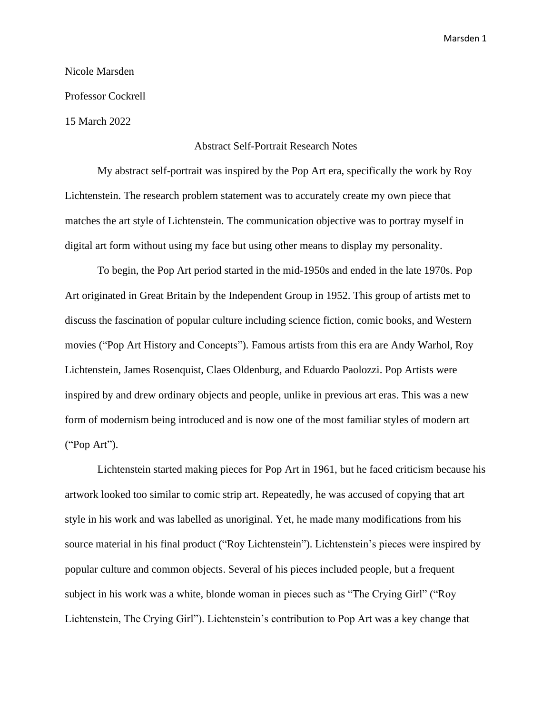## Nicole Marsden Professor Cockrell

15 March 2022

## Abstract Self-Portrait Research Notes

My abstract self-portrait was inspired by the Pop Art era, specifically the work by Roy Lichtenstein. The research problem statement was to accurately create my own piece that matches the art style of Lichtenstein. The communication objective was to portray myself in digital art form without using my face but using other means to display my personality.

To begin, the Pop Art period started in the mid-1950s and ended in the late 1970s. Pop Art originated in Great Britain by the Independent Group in 1952. This group of artists met to discuss the fascination of popular culture including science fiction, comic books, and Western movies ("Pop Art History and Concepts"). Famous artists from this era are Andy Warhol, Roy Lichtenstein, James Rosenquist, Claes Oldenburg, and Eduardo Paolozzi. Pop Artists were inspired by and drew ordinary objects and people, unlike in previous art eras. This was a new form of modernism being introduced and is now one of the most familiar styles of modern art ("Pop Art").

Lichtenstein started making pieces for Pop Art in 1961, but he faced criticism because his artwork looked too similar to comic strip art. Repeatedly, he was accused of copying that art style in his work and was labelled as unoriginal. Yet, he made many modifications from his source material in his final product ("Roy Lichtenstein"). Lichtenstein's pieces were inspired by popular culture and common objects. Several of his pieces included people, but a frequent subject in his work was a white, blonde woman in pieces such as "The Crying Girl" ("Roy Lichtenstein, The Crying Girl"). Lichtenstein's contribution to Pop Art was a key change that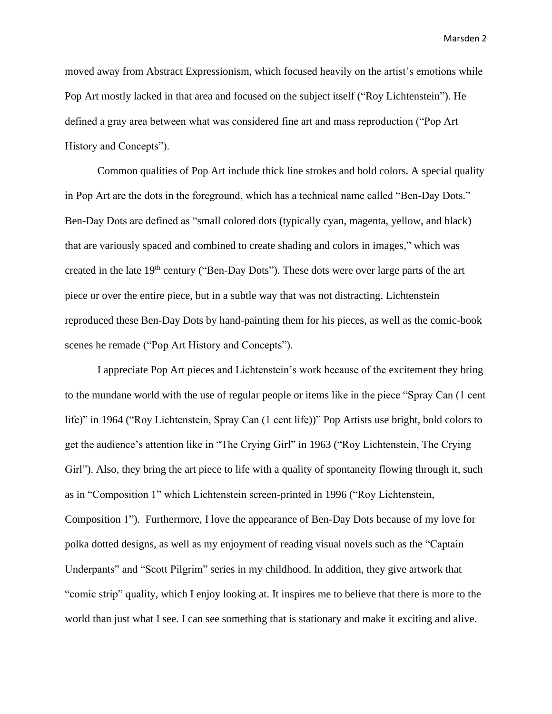Marsden 2

moved away from Abstract Expressionism, which focused heavily on the artist's emotions while Pop Art mostly lacked in that area and focused on the subject itself ("Roy Lichtenstein"). He defined a gray area between what was considered fine art and mass reproduction ("Pop Art History and Concepts").

Common qualities of Pop Art include thick line strokes and bold colors. A special quality in Pop Art are the dots in the foreground, which has a technical name called "Ben-Day Dots." Ben-Day Dots are defined as "small colored dots (typically cyan, magenta, yellow, and black) that are variously spaced and combined to create shading and colors in images," which was created in the late 19<sup>th</sup> century ("Ben-Day Dots"). These dots were over large parts of the art piece or over the entire piece, but in a subtle way that was not distracting. Lichtenstein reproduced these Ben-Day Dots by hand-painting them for his pieces, as well as the comic-book scenes he remade ("Pop Art History and Concepts").

I appreciate Pop Art pieces and Lichtenstein's work because of the excitement they bring to the mundane world with the use of regular people or items like in the piece "Spray Can (1 cent life)" in 1964 ("Roy Lichtenstein, Spray Can (1 cent life))" Pop Artists use bright, bold colors to get the audience's attention like in "The Crying Girl" in 1963 ("Roy Lichtenstein, The Crying Girl"). Also, they bring the art piece to life with a quality of spontaneity flowing through it, such as in "Composition 1" which Lichtenstein screen-printed in 1996 ("Roy Lichtenstein, Composition 1"). Furthermore, I love the appearance of Ben-Day Dots because of my love for polka dotted designs, as well as my enjoyment of reading visual novels such as the "Captain Underpants" and "Scott Pilgrim" series in my childhood. In addition, they give artwork that "comic strip" quality, which I enjoy looking at. It inspires me to believe that there is more to the world than just what I see. I can see something that is stationary and make it exciting and alive.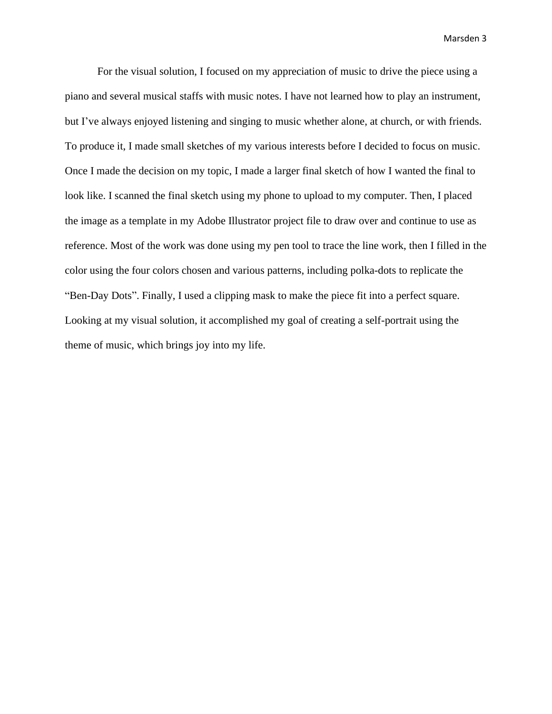Marsden 3

For the visual solution, I focused on my appreciation of music to drive the piece using a piano and several musical staffs with music notes. I have not learned how to play an instrument, but I've always enjoyed listening and singing to music whether alone, at church, or with friends. To produce it, I made small sketches of my various interests before I decided to focus on music. Once I made the decision on my topic, I made a larger final sketch of how I wanted the final to look like. I scanned the final sketch using my phone to upload to my computer. Then, I placed the image as a template in my Adobe Illustrator project file to draw over and continue to use as reference. Most of the work was done using my pen tool to trace the line work, then I filled in the color using the four colors chosen and various patterns, including polka-dots to replicate the "Ben-Day Dots". Finally, I used a clipping mask to make the piece fit into a perfect square. Looking at my visual solution, it accomplished my goal of creating a self-portrait using the theme of music, which brings joy into my life.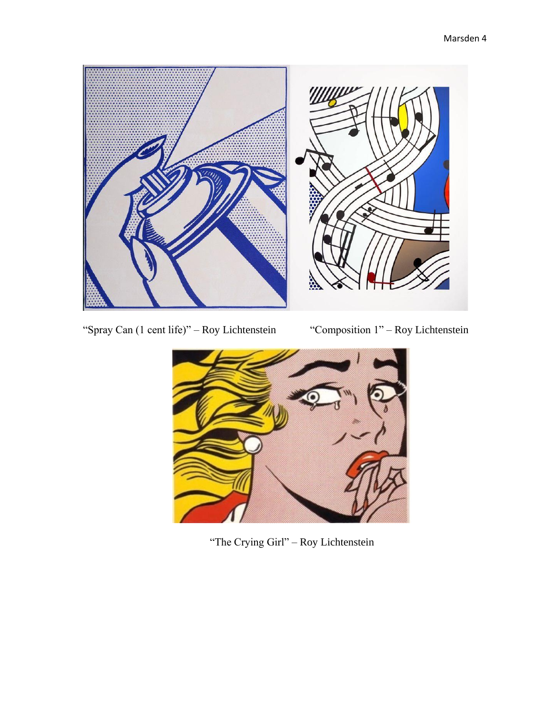

"Spray Can (1 cent life)" – Roy Lichtenstein "Composition 1" – Roy Lichtenstein



"The Crying Girl" – Roy Lichtenstein